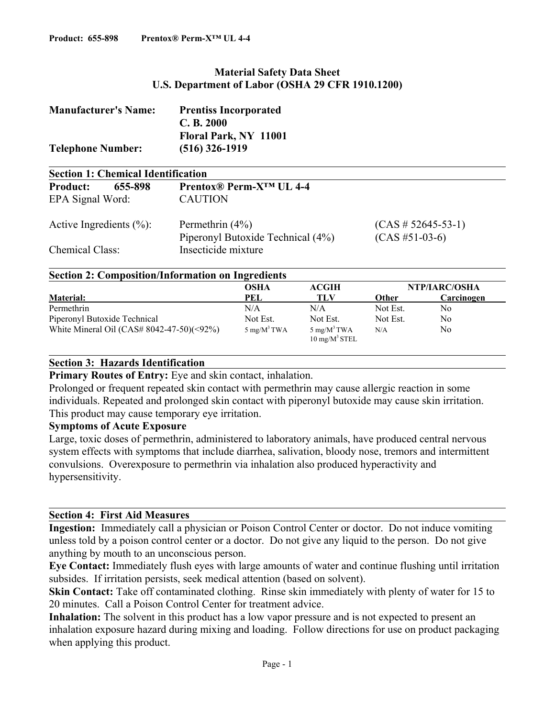# **Material Safety Data Sheet U.S. Department of Labor (OSHA 29 CFR 1910.1200)**

| <b>Manufacturer's Name:</b><br><b>Telephone Number:</b> | <b>Prentiss Incorporated</b><br>C. B. 2000<br>Floral Park, NY 11001<br>$(516)$ 326-1919 |                           |
|---------------------------------------------------------|-----------------------------------------------------------------------------------------|---------------------------|
| <b>Section 1: Chemical Identification</b>               |                                                                                         |                           |
| <b>Product:</b><br>655-898                              | Prentox <sup>®</sup> Perm-X <sup>™</sup> UL 4-4                                         |                           |
| EPA Signal Word:                                        | <b>CAUTION</b>                                                                          |                           |
| Active Ingredients $(\% )$ :                            | Permethrin $(4\%)$                                                                      | $(CAS \# 52645 - 53 - 1)$ |

Piperonyl Butoxide Technical (4%) (CAS #51-03-6)

Chemical Class: Insecticide mixture

#### **Section 2: Composition/Information on Ingredients**

|                                              | OSHA            | ACGIH                                       | NTP/IARC/OSHA |            |
|----------------------------------------------|-----------------|---------------------------------------------|---------------|------------|
| <b>Material:</b>                             | PEL             | TLV                                         | <b>Other</b>  | Carcinogen |
| Permethrin                                   | N/A             | N/A                                         | Not Est.      | No         |
| Piperonyl Butoxide Technical                 | Not Est.        | Not Est.                                    | Not Est.      | No.        |
| White Mineral Oil (CAS# $8042-47-50$ )(<92%) | 5 mg/ $M^3$ TWA | 5 mg/ $M^3$ TWA<br>$10 \text{ mg/M}^3$ STEL | N/A           | No         |

## **Section 3: Hazards Identification**

**Primary Routes of Entry:** Eye and skin contact, inhalation.

Prolonged or frequent repeated skin contact with permethrin may cause allergic reaction in some individuals. Repeated and prolonged skin contact with piperonyl butoxide may cause skin irritation. This product may cause temporary eye irritation.

#### **Symptoms of Acute Exposure**

Large, toxic doses of permethrin, administered to laboratory animals, have produced central nervous system effects with symptoms that include diarrhea, salivation, bloody nose, tremors and intermittent convulsions. Overexposure to permethrin via inhalation also produced hyperactivity and hypersensitivity.

## **Section 4: First Aid Measures**

**Ingestion:** Immediately call a physician or Poison Control Center or doctor. Do not induce vomiting unless told by a poison control center or a doctor. Do not give any liquid to the person. Do not give anything by mouth to an unconscious person.

**Eye Contact:** Immediately flush eyes with large amounts of water and continue flushing until irritation subsides. If irritation persists, seek medical attention (based on solvent).

**Skin Contact:** Take off contaminated clothing. Rinse skin immediately with plenty of water for 15 to 20 minutes. Call a Poison Control Center for treatment advice.

**Inhalation:** The solvent in this product has a low vapor pressure and is not expected to present an inhalation exposure hazard during mixing and loading. Follow directions for use on product packaging when applying this product.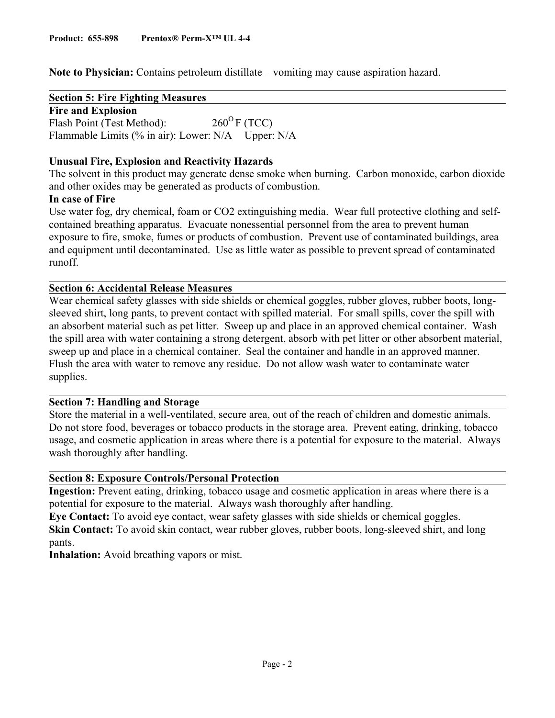**Note to Physician:** Contains petroleum distillate – vomiting may cause aspiration hazard.

**Section 5: Fire Fighting Measures** 

**Fire and Explosion**  Flash Point (Test Method):  $260^{\circ}$  F (TCC) Flammable Limits (% in air): Lower: N/A Upper: N/A

# **Unusual Fire, Explosion and Reactivity Hazards**

The solvent in this product may generate dense smoke when burning. Carbon monoxide, carbon dioxide and other oxides may be generated as products of combustion.

## **In case of Fire**

Use water fog, dry chemical, foam or CO2 extinguishing media. Wear full protective clothing and selfcontained breathing apparatus. Evacuate nonessential personnel from the area to prevent human exposure to fire, smoke, fumes or products of combustion. Prevent use of contaminated buildings, area and equipment until decontaminated. Use as little water as possible to prevent spread of contaminated runoff.

# **Section 6: Accidental Release Measures**

Wear chemical safety glasses with side shields or chemical goggles, rubber gloves, rubber boots, longsleeved shirt, long pants, to prevent contact with spilled material. For small spills, cover the spill with an absorbent material such as pet litter. Sweep up and place in an approved chemical container. Wash the spill area with water containing a strong detergent, absorb with pet litter or other absorbent material, sweep up and place in a chemical container. Seal the container and handle in an approved manner. Flush the area with water to remove any residue. Do not allow wash water to contaminate water supplies.

## **Section 7: Handling and Storage**

Store the material in a well-ventilated, secure area, out of the reach of children and domestic animals. Do not store food, beverages or tobacco products in the storage area. Prevent eating, drinking, tobacco usage, and cosmetic application in areas where there is a potential for exposure to the material. Always wash thoroughly after handling.

## **Section 8: Exposure Controls/Personal Protection**

**Ingestion:** Prevent eating, drinking, tobacco usage and cosmetic application in areas where there is a potential for exposure to the material. Always wash thoroughly after handling.

**Eye Contact:** To avoid eye contact, wear safety glasses with side shields or chemical goggles. **Skin Contact:** To avoid skin contact, wear rubber gloves, rubber boots, long-sleeved shirt, and long pants.

**Inhalation:** Avoid breathing vapors or mist.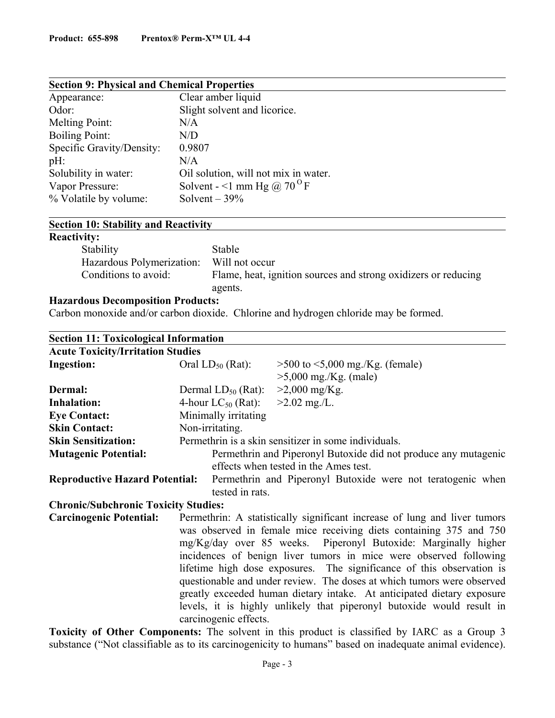| <b>Section 9: Physical and Chemical Properties</b> |                                        |  |  |
|----------------------------------------------------|----------------------------------------|--|--|
| Appearance:                                        | Clear amber liquid                     |  |  |
| Odor:                                              | Slight solvent and licorice.           |  |  |
| Melting Point:                                     | N/A                                    |  |  |
| <b>Boiling Point:</b>                              | N/D                                    |  |  |
| Specific Gravity/Density:                          | 0.9807                                 |  |  |
| $pH$ :                                             | N/A                                    |  |  |
| Solubility in water:                               | Oil solution, will not mix in water.   |  |  |
| Vapor Pressure:                                    | Solvent - <1 mm Hg @ 70 <sup>o</sup> F |  |  |
| % Volatile by volume:                              | Solvent $-39%$                         |  |  |
|                                                    |                                        |  |  |

# **Section 10: Stability and Reactivity**

## **Reactivity:**

| $\ldots, \ldots$          |                                                                |
|---------------------------|----------------------------------------------------------------|
| Stability                 | Stable                                                         |
| Hazardous Polymerization: | Will not occur                                                 |
| Conditions to avoid:      | Flame, heat, ignition sources and strong oxidizers or reducing |
|                           | agents.                                                        |

# **Hazardous Decomposition Products:**

Carbon monoxide and/or carbon dioxide. Chlorine and hydrogen chloride may be formed.

| <b>Section 11: Toxicological Information</b> |                                                                 |                                                                                                                                                                                                                                                                                                    |
|----------------------------------------------|-----------------------------------------------------------------|----------------------------------------------------------------------------------------------------------------------------------------------------------------------------------------------------------------------------------------------------------------------------------------------------|
| <b>Acute Toxicity/Irritation Studies</b>     |                                                                 |                                                                                                                                                                                                                                                                                                    |
| <b>Ingestion:</b>                            | Oral $LD_{50}$ (Rat):                                           | $>500$ to $< 5,000$ mg./Kg. (female)                                                                                                                                                                                                                                                               |
|                                              |                                                                 | $>5,000$ mg./Kg. (male)                                                                                                                                                                                                                                                                            |
| Dermal:                                      | Dermal $LD_{50}$ (Rat): $>2,000$ mg/Kg.                         |                                                                                                                                                                                                                                                                                                    |
| <b>Inhalation:</b>                           | 4-hour LC <sub>50</sub> (Rat): $>2.02$ mg./L.                   |                                                                                                                                                                                                                                                                                                    |
| <b>Eye Contact:</b>                          | Minimally irritating                                            |                                                                                                                                                                                                                                                                                                    |
| <b>Skin Contact:</b>                         | Non-irritating.                                                 |                                                                                                                                                                                                                                                                                                    |
| <b>Skin Sensitization:</b>                   |                                                                 | Permethrin is a skin sensitizer in some individuals.                                                                                                                                                                                                                                               |
| <b>Mutagenic Potential:</b>                  | Permethrin and Piperonyl Butoxide did not produce any mutagenic |                                                                                                                                                                                                                                                                                                    |
|                                              |                                                                 | effects when tested in the Ames test.                                                                                                                                                                                                                                                              |
| <b>Reproductive Hazard Potential:</b>        | Permethrin and Piperonyl Butoxide were not teratogenic when     |                                                                                                                                                                                                                                                                                                    |
|                                              | tested in rats.                                                 |                                                                                                                                                                                                                                                                                                    |
| <b>Chronic/Subchronic Toxicity Studies:</b>  |                                                                 |                                                                                                                                                                                                                                                                                                    |
| <b>Carcinogenic Potential:</b>               |                                                                 | Permethrin: A statistically significant increase of lung and liver tumors<br>was observed in female mice receiving diets containing 375 and 750<br>mg/Kg/day over 85 weeks. Piperonyl Butoxide: Marginally higher<br>incidences of benign liver tumors in mice were observed following             |
|                                              | carcinogenic effects.                                           | lifetime high dose exposures. The significance of this observation is<br>questionable and under review. The doses at which tumors were observed<br>greatly exceeded human dietary intake. At anticipated dietary exposure<br>levels, it is highly unlikely that piperonyl butoxide would result in |

**Toxicity of Other Components:** The solvent in this product is classified by IARC as a Group 3 substance ("Not classifiable as to its carcinogenicity to humans" based on inadequate animal evidence).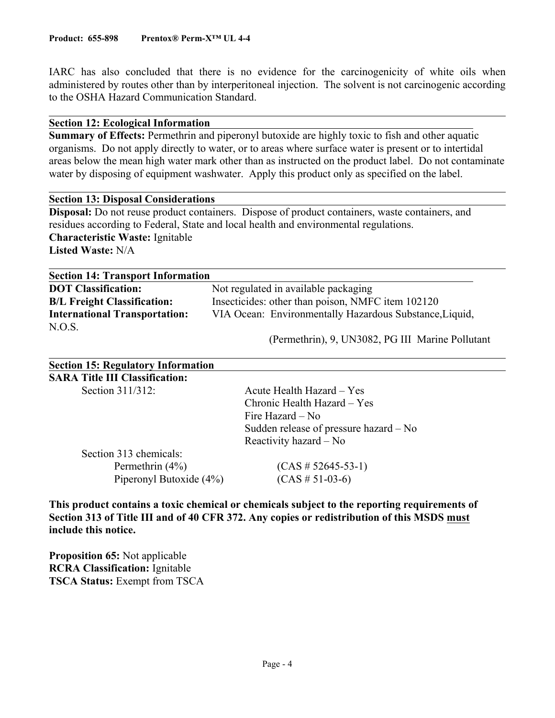IARC has also concluded that there is no evidence for the carcinogenicity of white oils when administered by routes other than by interperitoneal injection. The solvent is not carcinogenic according to the OSHA Hazard Communication Standard.

#### **Section 12: Ecological Information**

**Summary of Effects:** Permethrin and piperonyl butoxide are highly toxic to fish and other aquatic organisms. Do not apply directly to water, or to areas where surface water is present or to intertidal areas below the mean high water mark other than as instructed on the product label. Do not contaminate water by disposing of equipment washwater. Apply this product only as specified on the label.

#### **Section 13: Disposal Considerations**

**Disposal:** Do not reuse product containers. Dispose of product containers, waste containers, and residues according to Federal, State and local health and environmental regulations. **Characteristic Waste:** Ignitable **Listed Waste:** N/A

| <b>Section 14: Transport Information</b> |                                                         |  |
|------------------------------------------|---------------------------------------------------------|--|
| <b>DOT Classification:</b>               | Not regulated in available packaging                    |  |
| <b>B/L Freight Classification:</b>       | Insecticides: other than poison, NMFC item 102120       |  |
| <b>International Transportation:</b>     | VIA Ocean: Environmentally Hazardous Substance, Liquid, |  |
| N.O.S.                                   |                                                         |  |

(Permethrin), 9, UN3082, PG III Marine Pollutant

| <b>Section 15: Regulatory Information</b> |                                        |
|-------------------------------------------|----------------------------------------|
| <b>SARA Title III Classification:</b>     |                                        |
| Section 311/312:                          | Acute Health Hazard – Yes              |
|                                           | Chronic Health Hazard – Yes            |
|                                           | Fire Hazard – No                       |
|                                           | Sudden release of pressure hazard – No |
|                                           | Reactivity hazard $-$ No               |
| Section 313 chemicals:                    |                                        |
| Permethrin $(4\%)$                        | $(CAS \# 52645 - 53 - 1)$              |
| Piperonyl Butoxide (4%)                   | $(CAS \# 51-03-6)$                     |
|                                           |                                        |

**This product contains a toxic chemical or chemicals subject to the reporting requirements of Section 313 of Title III and of 40 CFR 372. Any copies or redistribution of this MSDS must include this notice.**

**Proposition 65:** Not applicable **RCRA Classification:** Ignitable **TSCA Status:** Exempt from TSCA